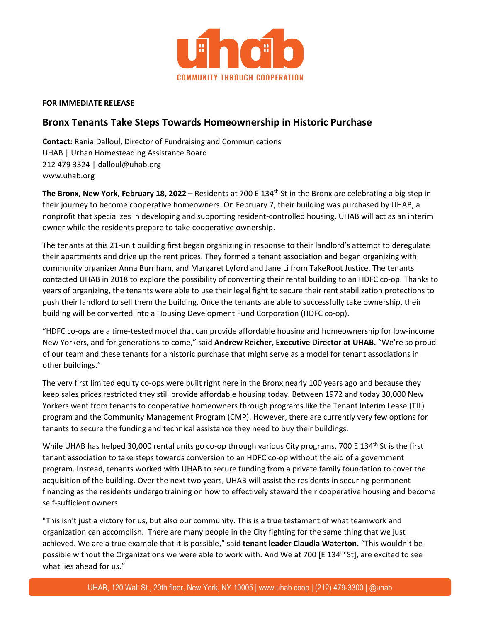

## **FOR IMMEDIATE RELEASE**

## **Bronx Tenants Take Steps Towards Homeownership in Historic Purchase**

**Contact:** Rania Dalloul, Director of Fundraising and Communications UHAB | Urban Homesteading Assistance Board 212 479 3324 | dalloul@uhab.org www.uhab.org

**The Bronx, New York, February 18, 2022** – Residents at 700 E 134th St in the Bronx are celebrating a big step in their journey to become cooperative homeowners. On February 7, their building was purchased by UHAB, a nonprofit that specializes in developing and supporting resident-controlled housing. UHAB will act as an interim owner while the residents prepare to take cooperative ownership.

The tenants at this 21-unit building first began organizing in response to their landlord's attempt to deregulate their apartments and drive up the rent prices. They formed a tenant association and began organizing with community organizer Anna Burnham, and Margaret Lyford and Jane Li from TakeRoot Justice. The tenants contacted UHAB in 2018 to explore the possibility of converting their rental building to an HDFC co-op. Thanks to years of organizing, the tenants were able to use their legal fight to secure their rent stabilization protections to push their landlord to sell them the building. Once the tenants are able to successfully take ownership, their building will be converted into a Housing Development Fund Corporation (HDFC co-op).

"HDFC co-ops are a time-tested model that can provide affordable housing and homeownership for low-income New Yorkers, and for generations to come," said **Andrew Reicher, Executive Director at UHAB.** "We're so proud of our team and these tenants for a historic purchase that might serve as a model for tenant associations in other buildings."

The very first limited equity co-ops were built right here in the Bronx nearly 100 years ago and because they keep sales prices restricted they still provide affordable housing today. Between 1972 and today 30,000 New Yorkers went from tenants to cooperative homeowners through programs like the Tenant Interim Lease (TIL) program and the Community Management Program (CMP). However, there are currently very few options for tenants to secure the funding and technical assistance they need to buy their buildings.

While UHAB has helped 30,000 rental units go co-op through various City programs, 700 E 134<sup>th</sup> St is the first tenant association to take steps towards conversion to an HDFC co-op without the aid of a government program. Instead, tenants worked with UHAB to secure funding from a private family foundation to cover the acquisition of the building. Over the next two years, UHAB will assist the residents in securing permanent financing as the residents undergo training on how to effectively steward their cooperative housing and become self-sufficient owners.

"This isn't just a victory for us, but also our community. This is a true testament of what teamwork and organization can accomplish. There are many people in the City fighting for the same thing that we just achieved. We are a true example that it is possible," said **tenant leader Claudia Waterton.** "This wouldn't be possible without the Organizations we were able to work with. And We at 700 [E 134<sup>th</sup> St], are excited to see what lies ahead for us."